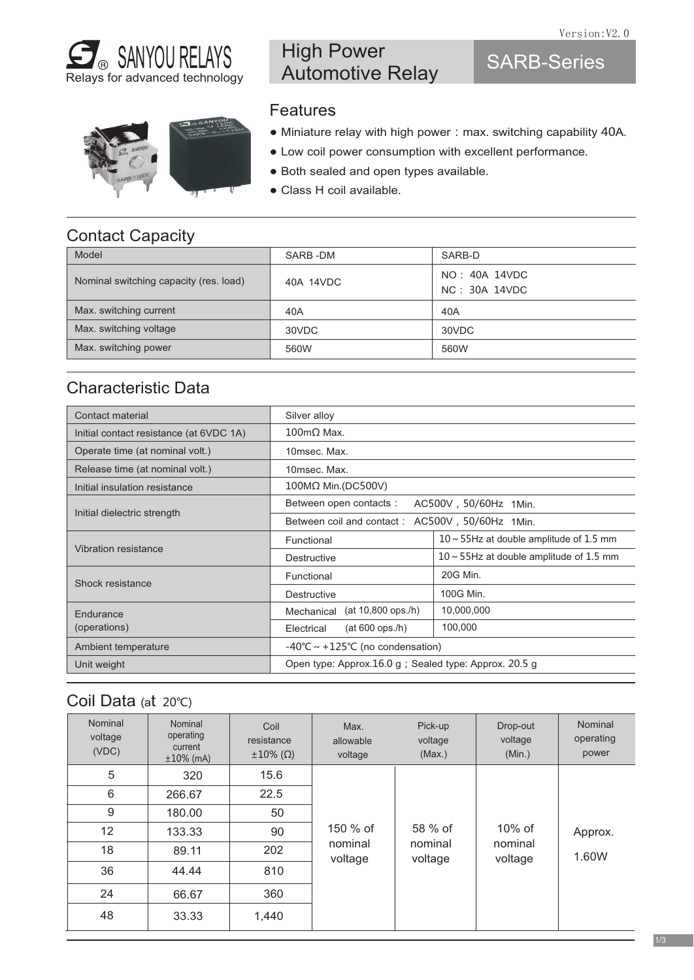

# High Power Automotive Relay

# SARB-Series





- Miniature relay with high power: max. switching capability 40A.
- Low coil power consumption with excellent performance.
- Both sealed and open types available.
- Class H coil available.

#### Contact Capacity

| Model                                  | SARB-DM   | SARB-D        |  |
|----------------------------------------|-----------|---------------|--|
| Nominal switching capacity (res. load) | 40A 14VDC | NO: 40A 14VDC |  |
|                                        |           | NC: 30A 14VDC |  |
| Max. switching current                 | 40A       | 40A           |  |
| Max. switching voltage                 | 30VDC     | 30VDC         |  |
| Max. switching power                   | 560W      | 560W          |  |

### Characteristic Data

| Contact material                        | Silver alloy                                          |                                               |  |  |  |  |
|-----------------------------------------|-------------------------------------------------------|-----------------------------------------------|--|--|--|--|
| Initial contact resistance (at 6VDC 1A) | $100 \text{m}\Omega$ Max.                             |                                               |  |  |  |  |
| Operate time (at nominal volt.)         | 10msec. Max.                                          |                                               |  |  |  |  |
| Release time (at nominal volt.)         | 10msec. Max.                                          |                                               |  |  |  |  |
| Initial insulation resistance           | $100M\Omega$ Min.(DC500V)                             |                                               |  |  |  |  |
| Initial dielectric strength             | AC500V, 50/60Hz 1Min.<br>Between open contacts:       |                                               |  |  |  |  |
|                                         | Between coil and contact: AC500V, 50/60Hz 1Min.       |                                               |  |  |  |  |
| Vibration resistance                    | Functional                                            | $10 \sim 55$ Hz at double amplitude of 1.5 mm |  |  |  |  |
|                                         | Destructive                                           | $10 \sim 55$ Hz at double amplitude of 1.5 mm |  |  |  |  |
| Shock resistance                        | Functional                                            | 20G Min.                                      |  |  |  |  |
|                                         | Destructive                                           | 100G Min.                                     |  |  |  |  |
| Endurance                               | (at 10,800 ops./h)<br>Mechanical                      | 10,000,000                                    |  |  |  |  |
| (operations)                            | $(at 600$ ops./h)<br>Electrical                       | 100,000                                       |  |  |  |  |
| Ambient temperature                     | $-40^{\circ}$ C ~ +125°C (no condensation)            |                                               |  |  |  |  |
| Unit weight                             | Open type: Approx.16.0 g; Sealed type: Approx. 20.5 g |                                               |  |  |  |  |

## Coil Data (at 20℃)

| Nominal<br>voltage<br>(VDC) | Nominal<br>operating<br>current<br>$±10\%$ (mA) | Coil<br>resistance<br>$\pm 10\%$ ( $\Omega$ ) | Max.<br>allowable<br>voltage   | Pick-up<br>voltage<br>(Max.)  | Drop-out<br>voltage<br>(Min.)   | Nominal<br>operating<br>power |
|-----------------------------|-------------------------------------------------|-----------------------------------------------|--------------------------------|-------------------------------|---------------------------------|-------------------------------|
| 5                           | 320                                             | 15.6                                          |                                |                               |                                 |                               |
| 6                           | 266.67                                          | 22.5                                          |                                |                               |                                 |                               |
| 9                           | 180.00                                          | 50                                            | 150 % of<br>nominal<br>voltage | 58 % of<br>nominal<br>voltage | $10\%$ of<br>nominal<br>voltage |                               |
| 12                          | 133.33                                          | 90                                            |                                |                               |                                 | Approx.                       |
| 18                          | 89.11                                           | 202                                           |                                |                               |                                 | 1.60W                         |
| 36                          | 44.44                                           | 810                                           |                                |                               |                                 |                               |
| 24                          | 66.67                                           | 360                                           |                                |                               |                                 |                               |
| 48                          | 33.33                                           | 1,440                                         |                                |                               |                                 |                               |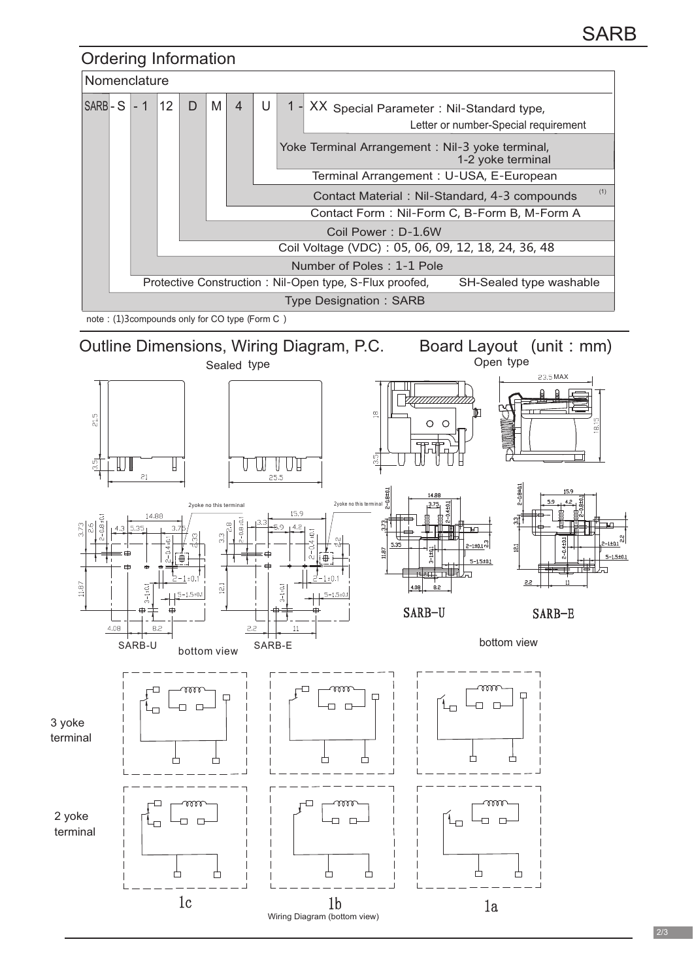